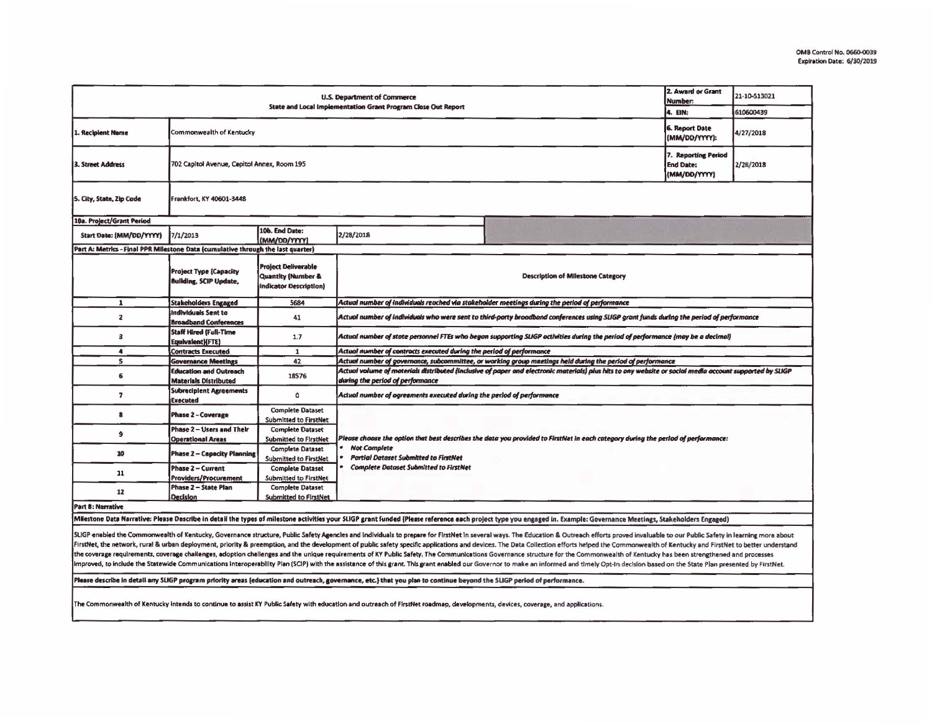|                                                                                              |                                                                |                                                                                       |                                                                                                                                         |                                                                                                                                                                                                                       | 2. Award or Grant                                       |              |  |  |  |
|----------------------------------------------------------------------------------------------|----------------------------------------------------------------|---------------------------------------------------------------------------------------|-----------------------------------------------------------------------------------------------------------------------------------------|-----------------------------------------------------------------------------------------------------------------------------------------------------------------------------------------------------------------------|---------------------------------------------------------|--------------|--|--|--|
| U.S. Department of Commerce<br>State and Local Implementation Grant Program Close Out Report |                                                                |                                                                                       |                                                                                                                                         |                                                                                                                                                                                                                       |                                                         | 21-10-S13021 |  |  |  |
|                                                                                              |                                                                |                                                                                       |                                                                                                                                         |                                                                                                                                                                                                                       |                                                         | 610600439    |  |  |  |
| 1. Recipient Name                                                                            | Commonwealth of Kentucky                                       |                                                                                       |                                                                                                                                         |                                                                                                                                                                                                                       |                                                         | 4/27/2018    |  |  |  |
| 702 Capitol Avenue, Capitol Annex, Room 195<br>3. Street Address                             |                                                                |                                                                                       |                                                                                                                                         |                                                                                                                                                                                                                       | 7. Reporting Period<br><b>End Date:</b><br>(MM/DD/YYYY) | 2/28/2018    |  |  |  |
| 5. City, State, Zip Code                                                                     | Frankfort, KY 40601-3448                                       |                                                                                       |                                                                                                                                         |                                                                                                                                                                                                                       |                                                         |              |  |  |  |
| 10a. Project/Grant Period                                                                    |                                                                |                                                                                       |                                                                                                                                         |                                                                                                                                                                                                                       |                                                         |              |  |  |  |
| Start Date: (MM/DD/YYYY)                                                                     | 7/1/2013                                                       | 10b. End Date:<br>(MM/DD/YYYY)                                                        | 2/28/2018                                                                                                                               |                                                                                                                                                                                                                       |                                                         |              |  |  |  |
| Part A: Metrics - Final PPR Milestone Data (cumulative through the last quarter)             |                                                                |                                                                                       |                                                                                                                                         |                                                                                                                                                                                                                       |                                                         |              |  |  |  |
|                                                                                              | <b>Project Type (Capacity</b><br><b>Building, SCIP Update,</b> | <b>Project Deliverable</b><br><b>Quantity (Number &amp;</b><br>Indicator Description) | <b>Description of Milestone Category</b>                                                                                                |                                                                                                                                                                                                                       |                                                         |              |  |  |  |
| $\mathbf{1}$                                                                                 | <b>Stakeholders Engaged</b>                                    | 5684                                                                                  | Actual number of individuals reached via stakeholder meetings during the period of performance.                                         |                                                                                                                                                                                                                       |                                                         |              |  |  |  |
| $\mathbf{z}$                                                                                 | Individuals Sent to<br><b>Broadband Conferences</b>            | 41                                                                                    | Actual number of individuals who were sent to third-party broadband conferences using SUGP grant funds during the period of performance |                                                                                                                                                                                                                       |                                                         |              |  |  |  |
| 3                                                                                            | Staff Hired (Full-Time<br>Equivalent)(FTE)                     | 1.7                                                                                   | Actual number of state personnel FTEs who began supporting SLIGP activities during the period of performance (may be a decimal)         |                                                                                                                                                                                                                       |                                                         |              |  |  |  |
| $\ddot{\phantom{a}}$                                                                         | <b>Contracts Executed</b>                                      | $\mathbf{1}$                                                                          | Actual number of contracts executed during the period of performance                                                                    |                                                                                                                                                                                                                       |                                                         |              |  |  |  |
| $\mathbf{s}$                                                                                 | <b>Governance Meetings</b>                                     | 42                                                                                    |                                                                                                                                         | Actual number of governance, subcommittee, or working group meetings held during the period of performance                                                                                                            |                                                         |              |  |  |  |
| 6                                                                                            | <b>Education and Outreach</b><br><b>Materials Distributed</b>  | 18576                                                                                 | during the period of performance                                                                                                        | Actual volume of materials distributed (inclusive of paper and electronic materials) plus hits to any website or social media account supported by SLKGP                                                              |                                                         |              |  |  |  |
| $\overline{\phantom{a}}$                                                                     | <b>Subreciplent Agreements</b><br><b>Executed</b>              | o                                                                                     | Actual number of agreements executed during the period of performance                                                                   |                                                                                                                                                                                                                       |                                                         |              |  |  |  |
| 8                                                                                            | <b>Phase 2 - Coverage</b>                                      | <b>Complete Dataset</b><br>Submitted to FirstNet                                      |                                                                                                                                         |                                                                                                                                                                                                                       |                                                         |              |  |  |  |
| 9                                                                                            | Phase 2 - Users and Their<br><b>Operational Areas</b>          | <b>Complete Dataset</b><br><b>Submitted to FirstNet</b>                               | Please choose the option that best describes the data you provided to FirstNet in each category during the period of performance:       |                                                                                                                                                                                                                       |                                                         |              |  |  |  |
| 10                                                                                           | <b>Phase 2 - Capacity Planning</b>                             | <b>Complete Dataset</b><br><b>Submitted to FirstNet</b>                               | <b>Not Complete</b><br><b>Partial Dataset Submitted to FirstNet</b>                                                                     |                                                                                                                                                                                                                       |                                                         |              |  |  |  |
| 11                                                                                           | Phase 2 - Current<br>Providers/Procurement                     | <b>Complete Dataset</b><br>Submitted to FirstNet                                      | <b>Complete Dataset Submitted to FirstNet</b>                                                                                           |                                                                                                                                                                                                                       |                                                         |              |  |  |  |
| 12                                                                                           | <b>Phase 2 - State Plan</b><br>Decision                        | <b>Complete Dataset</b><br>Submitted to FirstNet                                      |                                                                                                                                         |                                                                                                                                                                                                                       |                                                         |              |  |  |  |
| Part B: Narrative                                                                            |                                                                |                                                                                       |                                                                                                                                         |                                                                                                                                                                                                                       |                                                         |              |  |  |  |
|                                                                                              |                                                                |                                                                                       |                                                                                                                                         | Milestone Data Narrative: Please Describe in detail the types of milestone activities your SLIGP grant funded (Please reference each project type you engaged in. Example: Governance Meetings, Stakeholders Engaged) |                                                         |              |  |  |  |

SLIGP enabled the Commonwealth of Kentucky, Governance structure, Public Safety Agencies and Individuals to prepare for FirstNet in several ways. The Education & Outreach efforts proved invaluable to our Public Safety in l FirstNet, the network, rural & urban deployment, priority & preemption, and the development of public safety specific applications and devices. The Data Collection efforts helped the Commonwealth of Kentucky and FirstNet t the coverage requirements, coverage challenges, adoption challenges and the unique requirements of KY Public Safety. The Communications Governance structure for the Commonwealth of Kentucky has been strengthened and proces improved, to include the Statewide Communications Interoperability Plan (SCIP) with the assistance of this grant. This grant enabled our Governor to make an informed and timely Opt-In decision based on the State Plan prese

Please describe in detail any SLIGP program priority areas (education and outreach, governance, etc.) that you plan to continue beyond the SLIGP period of performance.

The Commonwealth of Kentucky intends to continue to assist KY Public Safety with education and outreach of FirstNet roadmap, developments, devices, coverage, and applications.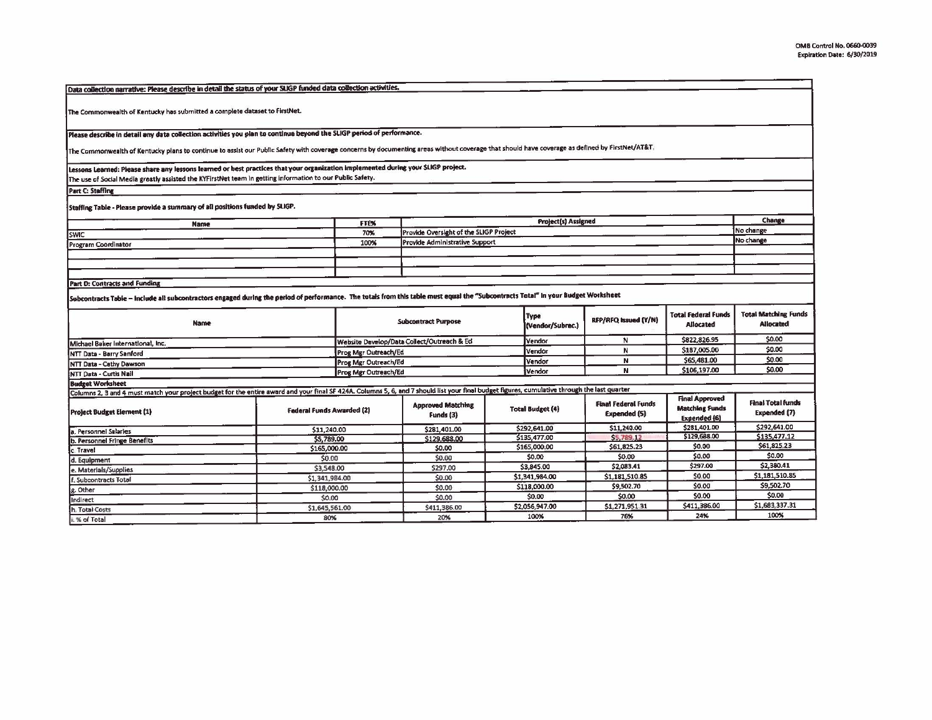| Data collection narrative: Please describe in detail the status of your SLIGP funded data collection activities.                                                                               |                                  |                      |                                            |                         |                      |                                                   |                                                                |                                          |
|------------------------------------------------------------------------------------------------------------------------------------------------------------------------------------------------|----------------------------------|----------------------|--------------------------------------------|-------------------------|----------------------|---------------------------------------------------|----------------------------------------------------------------|------------------------------------------|
| The Commonwealth of Kentucky has submitted a complete dataset to FirstNet.                                                                                                                     |                                  |                      |                                            |                         |                      |                                                   |                                                                |                                          |
| Please describe in detail any data collection activities you plan to continue beyond the SLIGP period of performance.                                                                          |                                  |                      |                                            |                         |                      |                                                   |                                                                |                                          |
| The Commonwealth of Kentucky plans to continue to assist our Public Safety with coverage concerns by documenting areas without coverage that should have coverage as defined by FirstNet/AT&T. |                                  |                      |                                            |                         |                      |                                                   |                                                                |                                          |
| Lessons Learned: Please share any lessons learned or best practices that your organization implemented during your SLIGP project.                                                              |                                  |                      |                                            |                         |                      |                                                   |                                                                |                                          |
| The use of Social Media greatly assisted the KYFirstNet team In getting information to our Public Safety.                                                                                      |                                  |                      |                                            |                         |                      |                                                   |                                                                |                                          |
| <b>Part C: Staffing</b>                                                                                                                                                                        |                                  |                      |                                            |                         |                      |                                                   |                                                                |                                          |
| Staffing Table - Please provide a summary of all positions funded by SLIGP.                                                                                                                    |                                  |                      |                                            |                         | Project(s) Assigned  |                                                   |                                                                |                                          |
| <b>Name</b>                                                                                                                                                                                    |                                  | FTE%                 |                                            |                         | Change               |                                                   |                                                                |                                          |
| <b>SWIC</b>                                                                                                                                                                                    |                                  | 70%                  | Provide Oversight of the SLIGP Project     |                         | No change            |                                                   |                                                                |                                          |
| Program Coordinator                                                                                                                                                                            |                                  | 100%                 | Provide Administrative Support             |                         |                      |                                                   |                                                                | No change                                |
|                                                                                                                                                                                                |                                  |                      |                                            |                         |                      |                                                   |                                                                |                                          |
|                                                                                                                                                                                                |                                  |                      |                                            |                         |                      |                                                   |                                                                |                                          |
|                                                                                                                                                                                                |                                  |                      |                                            |                         |                      |                                                   |                                                                |                                          |
| <b>Part D: Contracts and Funding</b>                                                                                                                                                           |                                  |                      |                                            |                         |                      |                                                   |                                                                |                                          |
| Subcontracts Table – include all subcontractors engaged during the period of performance. The totals from this table must equal the "Subcontracts Total" in your Budget Worksheet [            |                                  |                      |                                            |                         | <b>Type</b>          |                                                   | <b>Total Federal Funds</b>                                     | <b>Total Matching Funds</b>              |
| <b>Name</b>                                                                                                                                                                                    | <b>Subcontract Purpose</b>       |                      |                                            | (Vendor/Subrec.)        | RFP/RFQ Issued (Y/N) | Allocated                                         | <b>Allocated</b>                                               |                                          |
| Michael Baker International, Inc.                                                                                                                                                              |                                  |                      | Website Develop/Data Collect/Outreach & Ed |                         | Vendor               | N                                                 | \$822,826.95                                                   | \$0.00                                   |
| NTT Data - Barry Sanford                                                                                                                                                                       |                                  | Prog Mgr Outreach/Ed |                                            |                         | Vendor               | N                                                 | \$187,005.00                                                   | \$0.00                                   |
| NTT Data - Cathy Dawson                                                                                                                                                                        | Prog Mgr Outreach/Ed             |                      |                                            | Vendor                  | N                    | \$65,481.00                                       | \$0.00                                                         |                                          |
| NTT Data - Curtis Nail                                                                                                                                                                         | Prog Mgr Outreach/Ed             |                      |                                            | Vendor                  | N                    | \$106,197.00                                      | \$0.00                                                         |                                          |
| <b>Budget Worksheet</b>                                                                                                                                                                        |                                  |                      |                                            |                         |                      |                                                   |                                                                |                                          |
| Columns 2, 3 and 4 must match your project budget for the entire award and your final SF 424A. Columns 5, 6, and 7 should list your final budget figures, cumulative through the last quarter  |                                  |                      |                                            |                         |                      |                                                   |                                                                |                                          |
| <b>Project Budget Element (1)</b>                                                                                                                                                              | <b>Federal Funds Awarded (2)</b> |                      | <b>Approved Matching</b><br>Funds (3)      | <b>Total Budget (4)</b> |                      | <b>Final Federal Funds</b><br><b>Expended (5)</b> | <b>Final Approved</b><br><b>Matching Funds</b><br>Expended (6) | <b>Final Total funds</b><br>Expended (7) |
| a. Personnel Salaries                                                                                                                                                                          | \$11,240.00                      |                      | \$281,401.00                               |                         | \$292,641.00         | \$11,240.00                                       | \$281,401.00                                                   | \$292,641.00                             |
| b. Personnel Fringe Benefits                                                                                                                                                                   | \$5,789.00                       |                      | \$129,688,00                               |                         | \$135,477.00         | \$5,789.12                                        | \$129,688.00                                                   | \$135,477.12                             |
| c. Travel                                                                                                                                                                                      | \$165,000.00                     |                      | \$0.00                                     |                         | \$165,000.00         | \$61,825.23                                       | \$0.00                                                         | \$61,825.23                              |
| d. Equipment                                                                                                                                                                                   |                                  | \$0.00               |                                            | \$0.00                  |                      | \$0.00                                            | \$0.00                                                         | \$0.00                                   |
| e. Materials/Supplies                                                                                                                                                                          |                                  | \$3,548.00           |                                            | \$3,845.00              |                      | \$2,083.41                                        | \$297.00                                                       | \$2,380.41                               |
| f. Subcontracts Total                                                                                                                                                                          |                                  | \$1,341,984.00       |                                            | \$1,341,984.00          |                      | \$1,181,510.85                                    | \$0.00                                                         | \$1,181,510.85                           |
| . Other                                                                                                                                                                                        |                                  | \$118,000.00         |                                            | \$118,000.00            |                      | \$9,502.70                                        | \$0.00                                                         | \$9,502.70                               |
| <b>Indirect</b>                                                                                                                                                                                | \$0.00                           |                      | \$0.00                                     | \$0.00                  |                      | \$0.00                                            | \$0.00                                                         | \$0.00                                   |
| h. Total Costs                                                                                                                                                                                 | \$1,645,561.00                   |                      | \$411,386.00                               | \$2,056.947.00          |                      | \$1,271,951.31                                    | \$411,386.00                                                   | \$1,683,337.31                           |
| i. % of Total                                                                                                                                                                                  | 80%                              |                      | 20%                                        |                         | 100%                 | 76%                                               | 24%                                                            | 100%                                     |